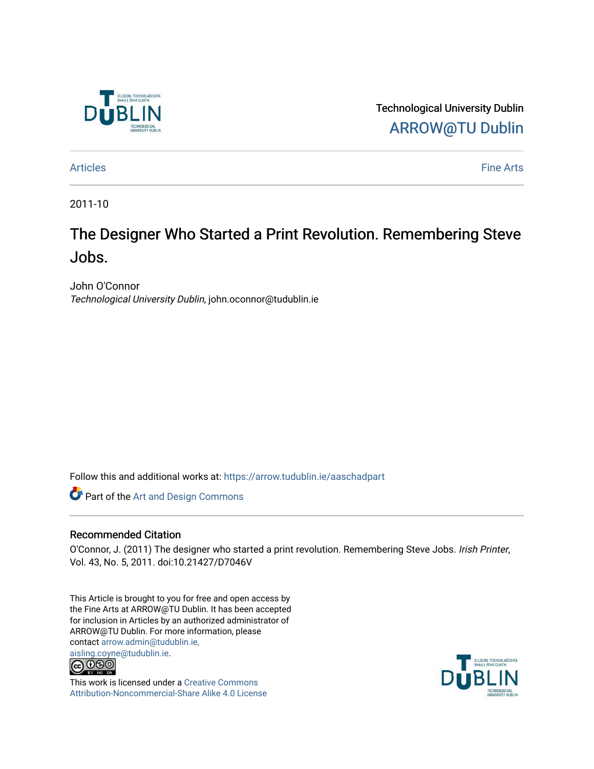

Technological University Dublin [ARROW@TU Dublin](https://arrow.tudublin.ie/) 

[Articles](https://arrow.tudublin.ie/aaschadpart) **Fine Arts** 

2011-10

## The Designer Who Started a Print Revolution. Remembering Steve Jobs.

John O'Connor Technological University Dublin, john.oconnor@tudublin.ie

Follow this and additional works at: [https://arrow.tudublin.ie/aaschadpart](https://arrow.tudublin.ie/aaschadpart?utm_source=arrow.tudublin.ie%2Faaschadpart%2F18&utm_medium=PDF&utm_campaign=PDFCoverPages) 

Part of the [Art and Design Commons](http://network.bepress.com/hgg/discipline/1049?utm_source=arrow.tudublin.ie%2Faaschadpart%2F18&utm_medium=PDF&utm_campaign=PDFCoverPages)

## Recommended Citation

O'Connor, J. (2011) The designer who started a print revolution. Remembering Steve Jobs. Irish Printer, Vol. 43, No. 5, 2011. doi:10.21427/D7046V

This Article is brought to you for free and open access by the Fine Arts at ARROW@TU Dublin. It has been accepted for inclusion in Articles by an authorized administrator of ARROW@TU Dublin. For more information, please contact [arrow.admin@tudublin.ie,](mailto:arrow.admin@tudublin.ie,%20aisling.coyne@tudublin.ie)  [aisling.coyne@tudublin.ie.](mailto:arrow.admin@tudublin.ie,%20aisling.coyne@tudublin.ie)<br>© 090



This work is licensed under a [Creative Commons](http://creativecommons.org/licenses/by-nc-sa/4.0/) [Attribution-Noncommercial-Share Alike 4.0 License](http://creativecommons.org/licenses/by-nc-sa/4.0/)

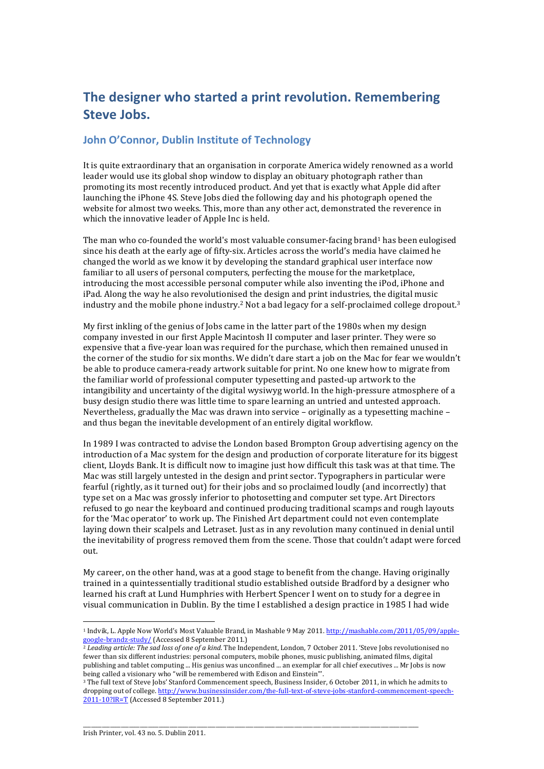## **The designer who started a print revolution. Remembering Steve Jobs.**

## **John O'Connor, Dublin Institute of Technology**

It is quite extraordinary that an organisation in corporate America widely renowned as a world leader would use its global shop window to display an obituary photograph rather than promoting its most recently introduced product. And yet that is exactly what Apple did after launching the iPhone 4S. Steve Jobs died the following day and his photograph opened the website for almost two weeks. This, more than any other act, demonstrated the reverence in which the innovative leader of Apple Inc is held.

The man who co-founded the world's most valuable consumer-facing brand<sup>1</sup> has been eulogised since his death at the early age of fifty-six. Articles across the world's media have claimed he changed the world as we know it by developing the standard graphical user interface now familiar to all users of personal computers, perfecting the mouse for the marketplace, introducing the most accessible personal computer while also inventing the iPod, iPhone and iPad. Along the way he also revolutionised the design and print industries, the digital music industry and the mobile phone industry.<sup>2</sup> Not a bad legacy for a self-proclaimed college dropout.<sup>3</sup>

My first inkling of the genius of Jobs came in the latter part of the 1980s when my design company invested in our first Apple Macintosh II computer and laser printer. They were so expensive that a five-year loan was required for the purchase, which then remained unused in the corner of the studio for six months. We didn't dare start a job on the Mac for fear we wouldn't be able to produce camera-ready artwork suitable for print. No one knew how to migrate from the familiar world of professional computer typesetting and pasted-up artwork to the intangibility and uncertainty of the digital wysiwyg world. In the high-pressure atmosphere of a busy design studio there was little time to spare learning an untried and untested approach. Nevertheless, gradually the Mac was drawn into service  $-$  originally as a typesetting machine  $$ and thus began the inevitable development of an entirely digital workflow.

In 1989 I was contracted to advise the London based Brompton Group advertising agency on the introduction of a Mac system for the design and production of corporate literature for its biggest client, Lloyds Bank. It is difficult now to imagine just how difficult this task was at that time. The Mac was still largely untested in the design and print sector. Typographers in particular were fearful (rightly, as it turned out) for their jobs and so proclaimed loudly (and incorrectly) that type set on a Mac was grossly inferior to photosetting and computer set type. Art Directors refused to go near the keyboard and continued producing traditional scamps and rough layouts for the 'Mac operator' to work up. The Finished Art department could not even contemplate laying down their scalpels and Letraset. Just as in any revolution many continued in denial until the inevitability of progress removed them from the scene. Those that couldn't adapt were forced out.

My career, on the other hand, was at a good stage to benefit from the change. Having originally trained in a quintessentially traditional studio established outside Bradford by a designer who learned his craft at Lund Humphries with Herbert Spencer I went on to study for a degree in visual communication in Dublin. By the time I established a design practice in 1985 I had wide

\_\_\_\_\_\_\_\_\_\_\_\_\_\_\_\_\_\_\_\_\_\_\_\_\_\_\_\_\_\_\_\_\_\_\_\_\_\_\_\_\_\_\_\_\_\_\_\_\_\_\_\_\_\_\_\_\_\_\_\_\_\_\_\_\_\_\_\_\_\_\_\_\_\_\_\_\_\_\_\_\_\_\_\_\_\_\_\_\_\_\_\_\_\_\_\_\_\_\_\_\_\_\_\_\_\_\_\_\_\_\_\_\_\_\_\_\_\_\_\_\_\_\_\_

 

<sup>&</sup>lt;sup>1</sup> Indvik, L. Apple Now World's Most Valuable Brand, in Mashable 9 May 2011. http://mashable.com/2011/05/09/applegoogle-brandz-study/ (Accessed 8 September 2011.)

 $^2$  *Leading article: The sad loss of one of a kind.* The Independent, London, 7 October 2011. 'Steve Jobs revolutionised no fewer than six different industries: personal computers, mobile phones, music publishing, animated films, digital publishing and tablet computing ... His genius was unconfined ... an exemplar for all chief executives ... Mr Jobs is now being called a visionary who "will be remembered with Edison and Einstein"'.

<sup>&</sup>lt;sup>3</sup> The full text of Steve Jobs' Stanford Commencement speech, Business Insider, 6 October 2011, in which he admits to dropping out of college. http://www.businessinsider.com/the-full-text-of-steve-jobs-stanford-commencement-speech-2011-10?IR=T (Accessed 8 September 2011.)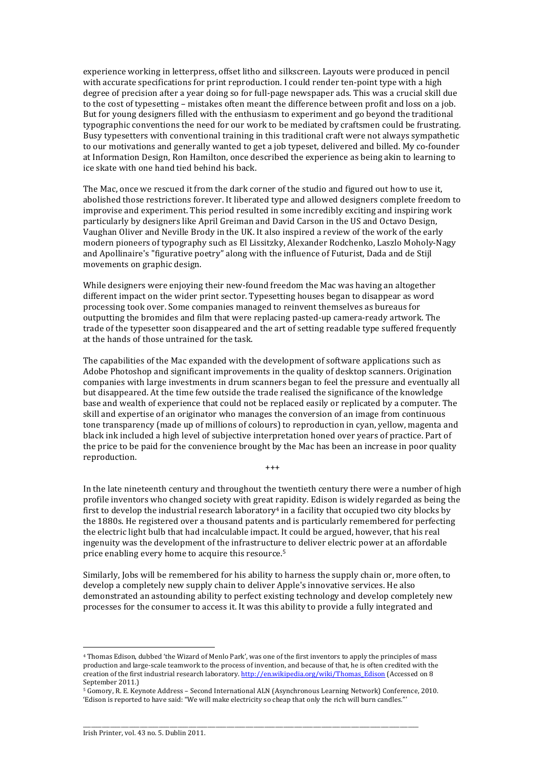experience working in letterpress, offset litho and silkscreen. Layouts were produced in pencil with accurate specifications for print reproduction. I could render ten-point type with a high degree of precision after a year doing so for full-page newspaper ads. This was a crucial skill due to the cost of typesetting – mistakes often meant the difference between profit and loss on a job. But for young designers filled with the enthusiasm to experiment and go beyond the traditional typographic conventions the need for our work to be mediated by craftsmen could be frustrating. Busy typesetters with conventional training in this traditional craft were not always sympathetic to our motivations and generally wanted to get a job typeset, delivered and billed. My co-founder at Information Design, Ron Hamilton, once described the experience as being akin to learning to ice skate with one hand tied behind his back.

The Mac, once we rescued it from the dark corner of the studio and figured out how to use it, abolished those restrictions forever. It liberated type and allowed designers complete freedom to improvise and experiment. This period resulted in some incredibly exciting and inspiring work particularly by designers like April Greiman and David Carson in the US and Octavo Design, Vaughan Oliver and Neville Brody in the UK. It also inspired a review of the work of the early modern pioneers of typography such as El Lissitzky, Alexander Rodchenko, Laszlo Moholy-Nagy and Apollinaire's "figurative poetry" along with the influence of Futurist, Dada and de Stijl movements on graphic design.

While designers were enjoying their new-found freedom the Mac was having an altogether different impact on the wider print sector. Typesetting houses began to disappear as word processing took over. Some companies managed to reinvent themselves as bureaus for outputting the bromides and film that were replacing pasted-up camera-ready artwork. The trade of the typesetter soon disappeared and the art of setting readable type suffered frequently at the hands of those untrained for the task.

The capabilities of the Mac expanded with the development of software applications such as Adobe Photoshop and significant improvements in the quality of desktop scanners. Origination companies with large investments in drum scanners began to feel the pressure and eventually all but disappeared. At the time few outside the trade realised the significance of the knowledge base and wealth of experience that could not be replaced easily or replicated by a computer. The skill and expertise of an originator who manages the conversion of an image from continuous tone transparency (made up of millions of colours) to reproduction in cyan, yellow, magenta and black ink included a high level of subjective interpretation honed over years of practice. Part of the price to be paid for the convenience brought by the Mac has been an increase in poor quality reproduction.  $+ + +$ 

In the late nineteenth century and throughout the twentieth century there were a number of high profile inventors who changed society with great rapidity. Edison is widely regarded as being the first to develop the industrial research laboratory<sup>4</sup> in a facility that occupied two city blocks by the 1880s. He registered over a thousand patents and is particularly remembered for perfecting the electric light bulb that had incalculable impact. It could be argued, however, that his real ingenuity was the development of the infrastructure to deliver electric power at an affordable price enabling every home to acquire this resource.<sup>5</sup>

Similarly, Jobs will be remembered for his ability to harness the supply chain or, more often, to develop a completely new supply chain to deliver Apple's innovative services. He also demonstrated an astounding ability to perfect existing technology and develop completely new processes for the consumer to access it. It was this ability to provide a fully integrated and

\_\_\_\_\_\_\_\_\_\_\_\_\_\_\_\_\_\_\_\_\_\_\_\_\_\_\_\_\_\_\_\_\_\_\_\_\_\_\_\_\_\_\_\_\_\_\_\_\_\_\_\_\_\_\_\_\_\_\_\_\_\_\_\_\_\_\_\_\_\_\_\_\_\_\_\_\_\_\_\_\_\_\_\_\_\_\_\_\_\_\_\_\_\_\_\_\_\_\_\_\_\_\_\_\_\_\_\_\_\_\_\_\_\_\_\_\_\_\_\_\_\_\_\_

 

<sup>&</sup>lt;sup>4</sup> Thomas Edison, dubbed 'the Wizard of Menlo Park', was one of the first inventors to apply the principles of mass production and large-scale teamwork to the process of invention, and because of that, he is often credited with the creation of the first industrial research laboratory. http://en.wikipedia.org/wiki/Thomas\_Edison (Accessed on 8 September 2011.)

<sup>&</sup>lt;sup>5</sup> Gomory, R. E. Keynote Address - Second International ALN (Asynchronous Learning Network) Conference, 2010. 'Edison is reported to have said: "We will make electricity so cheap that only the rich will burn candles."'